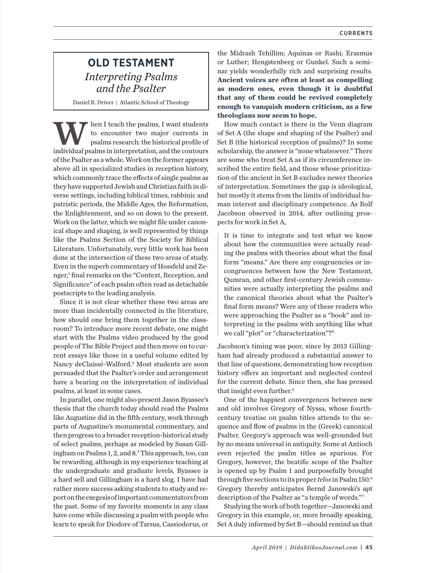## **OLD TESTAMENT** *Interpreting Psalms and the Psalter*

Daniel R. Driver | Atlantic School of Theology

Men I teach the psalms, I want students<br>to encounter two major currents in<br>psalms research: the historical profile of<br>individual psalms in interpretation, and the contours to encounter two major currents in psalms research: the historical profile of individual psalms in interpretation, and the contours of the Psalter as a whole. Work on the former appears above all in specialized studies in reception history, which commonly trace the effects of single psalms as they have supported Jewish and Christian faith in diverse settings, including biblical times, rabbinic and patristic periods, the Middle Ages, the Reformation, the Enlightenment, and so on down to the present. Work on the latter, which we might file under canonical shape and shaping, is well represented by things like the Psalms Section of the Society for Biblical Literature. Unfortunately, very little work has been done at the intersection of these two areas of study. Even in the superb commentary of Hossfeld and Zenger,<sup>1</sup> final remarks on the "Context, Reception, and Significance" of each psalm often read as detachable postscripts to the leading analysis.

Since it is not clear whether these two areas are more than incidentally connected in the literature, how should one bring them together in the classroom? To introduce more recent debate, one might start with the Psalms video produced by the good people of The Bible Project and then move on to current essays like those in a useful volume edited by Nancy deClaissé-Walford.2 Most students are soon persuaded that the Psalter's order and arrangement have a bearing on the interpretation of individual psalms, at least in some cases.

In parallel, one might also present Jason Byassee's thesis that the church today should read the Psalms like Augustine did in the fifth century, work through parts of Augustine's monumental commentary, and then progress to a broader reception-historical study of select psalms, perhaps as modeled by Susan Gillingham on Psalms 1, 2, and 8.3 This approach, too, can be rewarding, although in my experience teaching at the undergraduate and graduate levels, Byassee is a hard sell and Gillingham is a hard slog. I have had rather more success asking students to study and report on the exegesis of important commentators from the past. Some of my favorite moments in any class have come while discussing a psalm with people who learn to speak for Diodore of Tarsus, Cassiodorus, or

the Midrash Tehillim; Aquinas or Rashi; Erasmus or Luther; Hengstenberg or Gunkel. Such a seminar yields wonderfully rich and surprising results. **Ancient voices are often at least as compelling as modern ones, even though it is doubtful that any of them could be revived completely enough to vanquish modern criticism, as a few theologians now seem to hope.**

How much contact is there in the Venn diagram of Set A (the shape and shaping of the Psalter) and Set B (the historical reception of psalms)? In some scholarship, the answer is "none whatsoever." There are some who treat Set A as if its circumference inscribed the entire field, and those whose prioritization of the ancient in Set B excludes newer theories of interpretation. Sometimes the gap is ideological, but mostly it stems from the limits of individual human interest and disciplinary competence. As Rolf Jacobson observed in 2014, after outlining prospects for work in Set A,

It is time to integrate and test what we know about how the communities were actually reading the psalms with theories about what the final form "means." Are there any congruencies or incongruences between how the New Testament, Qumran, and other first-century Jewish communities were actually interpreting the psalms and the canonical theories about what the Psalter's final form means? Were any of these readers who were approaching the Psalter as a "book" and interpreting in the psalms with anything like what we call "plot" or "characterization"?4

Jacobson's timing was poor, since by 2013 Gillingham had already produced a substantial answer to that line of questions, demonstrating how reception history offers an important and neglected control for the current debate. Since then, she has pressed that insight even further.5

One of the happiest convergences between new and old involves Gregory of Nyssa, whose fourthcentury treatise on psalm titles attends to the sequence and flow of psalms in the (Greek) canonical Psalter. Gregory's approach was well-grounded but by no means universal in antiquity. Some at Antioch even rejected the psalm titles as spurious. For Gregory, however, the beatific scope of the Psalter is opened up by Psalm 1 and purposefully brought through five sections to its proper *telos* in Psalm150. 6 Gregory thereby anticipates Bernd Janowski's apt description of the Psalter as "a temple of words."7

Studying the work of both together—Janowski and Gregory in this example, or, more broadly speaking, Set A duly informed by Set B—should remind us that